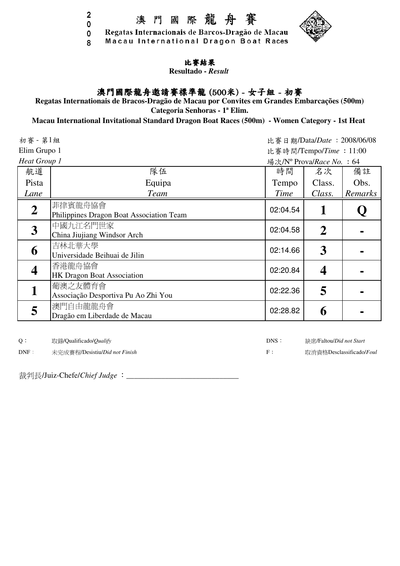$\overline{2}$ 

8



### 比賽結果

Macau International Dragon Boat Races

**Resultado -** *Result*

# 澳門國際龍舟邀請賽標準龍 (500米) - 女子組 - 初賽

**Regatas Internationais de Bracos-Dragão de Macau por Convites em Grandes Embarcações (500m)**

**Categoria Senhoras - 1ª Elim.**

#### **Macau International Invitational Standard Dragon Boat Races (500m) - Women Category - 1st Heat**

比賽日期/Data/*Date* :2008/06/08 比賽時間/Tempo/*Time* :11:00 場次/N<sup>o</sup> Prova/*Race No.* : 64 航道 おおとこ おおとこ しきく 時間 名次 備註 Pista | Class. | Obs. | Class. | Obs. | Class. | Obs. | Class. | Obs. | Class. | Obs. | Class. | Class. | Class. | Class. | Class. | Class. | Class. | Class. | Class. | Class. | Class. | Class. | Class. | Class. | Class. | *Lane Team Time Class. Remarks* **2** 菲律賓龍舟協會 Philippines Dragon Boat Association Team 02:04.54 **1 Q 3** 中國九江名門世家  $\begin{array}{|c|c|c|c|c|c|c|}\n \hline \text{China Jiujiang Windows } \text{Arch} & & & & \text{02:04.58} \end{array}$  2 **6** 吉林北華大學  $\Box$ M<sub>-1</sub>U# $\land$   $\cong$ <br>Universidade Beihuai de Jilin  $\Box$  102:14.66 **3** - **3 4** 香港龍舟協會 <del>E</del> *t*∈ne. 11 mi = 12.000 mi = 12.000 mi = 12.000 mi = 12.000 mi = 12.000 mi = 14.000 mi = 14.000 mi = 14.000 mi = 14.000 mi = 14.000 mi = 14.000 mi = 14.000 mi = 14.000 mi = 14.000 mi = 14.000 mi = 14.000 mi = 14.000 mi **1** 葡澳之友體育會 Associação Desportiva Pu Ao Zhi You 02:22.36 **5 - 5** 澳門自由龍龍舟會  $\mathbb{R}$  Dragão em Liberdade de Macau **1988 - 1988 - 1988 - 1988 - 1988 - 1988 - 1988 - 1988 - 1988 - 1988 - 1988 - 1988 - 1988 - 1988 - 1988 - 1988 - 1988 - 1988 - 1988 - 1988 - 1988 - 1988 - 1988 - 1988 - 1988 - 1988 -** 初賽 - 第1組 Elim Grupo 1 *Heat Group 1*

Q: 取錄/Qualificado/*Qualify* DNS:

DNF: 未完成賽程/Desistiu/*Did not Finish* F:

裁判長/Juiz-Chefe/*Chief Judge* :\_\_\_\_\_\_\_\_\_\_\_\_\_\_\_\_\_\_\_\_\_\_\_\_\_\_\_\_\_



取消資格Desclassificado/*Foul*

缺席/Faltou/*Did not Start*

0 0